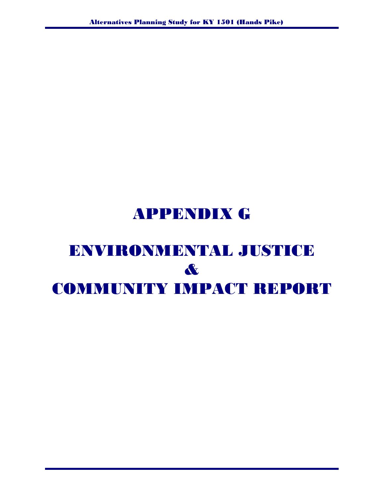# APPENDIX G

# ENVIRONMENTAL JUSTICE & COMMUNITY IMPACT REPORT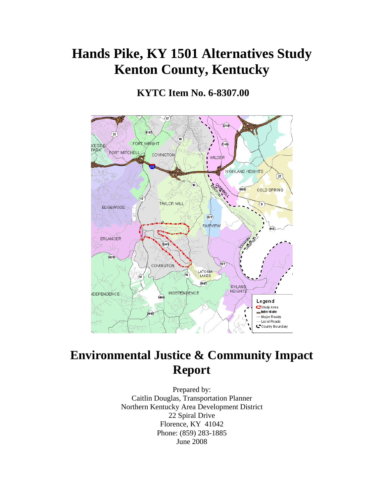# **Hands Pike, KY 1501 Alternatives Study Kenton County, Kentucky**

## **KYTC Item No. 6-8307.00**



## **Environmental Justice & Community Impact Report**

Prepared by: Caitlin Douglas, Transportation Planner Northern Kentucky Area Development District 22 Spiral Drive Florence, KY 41042 Phone: (859) 283-1885 June 2008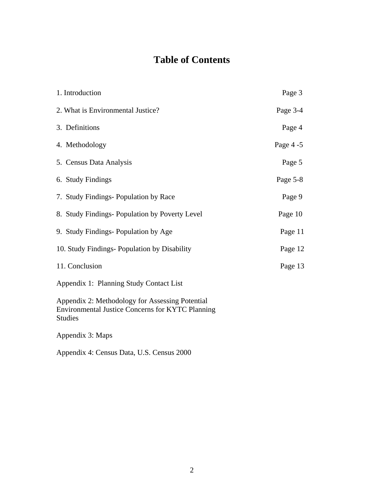## **Table of Contents**

| 1. Introduction                                                                                                              | Page 3     |
|------------------------------------------------------------------------------------------------------------------------------|------------|
| 2. What is Environmental Justice?                                                                                            | Page 3-4   |
| 3. Definitions                                                                                                               | Page 4     |
| 4. Methodology                                                                                                               | Page $4-5$ |
| 5. Census Data Analysis                                                                                                      | Page 5     |
| 6. Study Findings                                                                                                            | Page 5-8   |
| 7. Study Findings- Population by Race                                                                                        | Page 9     |
| 8. Study Findings-Population by Poverty Level                                                                                | Page 10    |
| 9. Study Findings- Population by Age                                                                                         | Page 11    |
| 10. Study Findings- Population by Disability                                                                                 | Page 12    |
| 11. Conclusion                                                                                                               | Page 13    |
| Appendix 1: Planning Study Contact List                                                                                      |            |
| Appendix 2: Methodology for Assessing Potential<br><b>Environmental Justice Concerns for KYTC Planning</b><br><b>Studies</b> |            |
| Appendix 3: Maps                                                                                                             |            |

Appendix 4: Census Data, U.S. Census 2000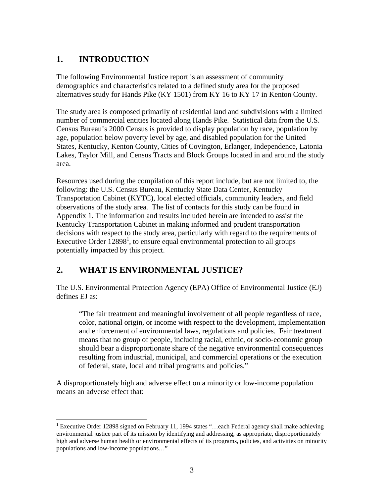## **1. INTRODUCTION**

 $\overline{a}$ 

The following Environmental Justice report is an assessment of community demographics and characteristics related to a defined study area for the proposed alternatives study for Hands Pike (KY 1501) from KY 16 to KY 17 in Kenton County.

The study area is composed primarily of residential land and subdivisions with a limited number of commercial entities located along Hands Pike. Statistical data from the U.S. Census Bureau's 2000 Census is provided to display population by race, population by age, population below poverty level by age, and disabled population for the United States, Kentucky, Kenton County, Cities of Covington, Erlanger, Independence, Latonia Lakes, Taylor Mill, and Census Tracts and Block Groups located in and around the study area.

Resources used during the compilation of this report include, but are not limited to, the following: the U.S. Census Bureau, Kentucky State Data Center, Kentucky Transportation Cabinet (KYTC), local elected officials, community leaders, and field observations of the study area. The list of contacts for this study can be found in Appendix 1. The information and results included herein are intended to assist the Kentucky Transportation Cabinet in making informed and prudent transportation decisions with respect to the study area, particularly with regard to the requirements of Executive Order  $12898^1$ , to ensure equal environmental protection to all groups potentially impacted by this project.

#### **2. WHAT IS ENVIRONMENTAL JUSTICE?**

The U.S. Environmental Protection Agency (EPA) Office of Environmental Justice (EJ) defines EJ as:

"The fair treatment and meaningful involvement of all people regardless of race, color, national origin, or income with respect to the development, implementation and enforcement of environmental laws, regulations and policies. Fair treatment means that no group of people, including racial, ethnic, or socio-economic group should bear a disproportionate share of the negative environmental consequences resulting from industrial, municipal, and commercial operations or the execution of federal, state, local and tribal programs and policies."

A disproportionately high and adverse effect on a minority or low-income population means an adverse effect that:

<sup>&</sup>lt;sup>1</sup> Executive Order 12898 signed on February 11, 1994 states "...each Federal agency shall make achieving environmental justice part of its mission by identifying and addressing, as appropriate, disproportionately high and adverse human health or environmental effects of its programs, policies, and activities on minority populations and low-income populations…"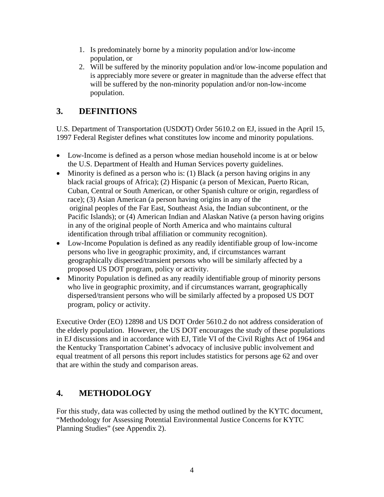- 1. Is predominately borne by a minority population and/or low-income population, or
- 2. Will be suffered by the minority population and/or low-income population and is appreciably more severe or greater in magnitude than the adverse effect that will be suffered by the non-minority population and/or non-low-income population.

### **3. DEFINITIONS**

U.S. Department of Transportation (USDOT) Order 5610.2 on EJ, issued in the April 15, 1997 Federal Register defines what constitutes low income and minority populations.

- Low-Income is defined as a person whose median household income is at or below the U.S. Department of Health and Human Services poverty guidelines.
- Minority is defined as a person who is: (1) Black (a person having origins in any black racial groups of Africa); (2) Hispanic (a person of Mexican, Puerto Rican, Cuban, Central or South American, or other Spanish culture or origin, regardless of race); (3) Asian American (a person having origins in any of the original peoples of the Far East, Southeast Asia, the Indian subcontinent, or the Pacific Islands); or (4) American Indian and Alaskan Native (a person having origins in any of the original people of North America and who maintains cultural identification through tribal affiliation or community recognition).
- Low-Income Population is defined as any readily identifiable group of low-income persons who live in geographic proximity, and, if circumstances warrant geographically dispersed/transient persons who will be similarly affected by a proposed US DOT program, policy or activity.
- Minority Population is defined as any readily identifiable group of minority persons who live in geographic proximity, and if circumstances warrant, geographically dispersed/transient persons who will be similarly affected by a proposed US DOT program, policy or activity.

Executive Order (EO) 12898 and US DOT Order 5610.2 do not address consideration of the elderly population. However, the US DOT encourages the study of these populations in EJ discussions and in accordance with EJ, Title VI of the Civil Rights Act of 1964 and the Kentucky Transportation Cabinet's advocacy of inclusive public involvement and equal treatment of all persons this report includes statistics for persons age 62 and over that are within the study and comparison areas.

## **4. METHODOLOGY**

For this study, data was collected by using the method outlined by the KYTC document, "Methodology for Assessing Potential Environmental Justice Concerns for KYTC Planning Studies" (see Appendix 2).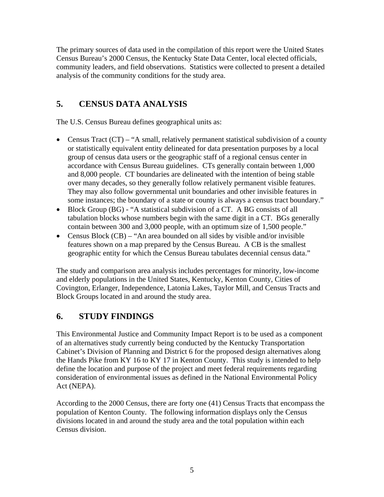The primary sources of data used in the compilation of this report were the United States Census Bureau's 2000 Census, the Kentucky State Data Center, local elected officials, community leaders, and field observations. Statistics were collected to present a detailed analysis of the community conditions for the study area.

### **5. CENSUS DATA ANALYSIS**

The U.S. Census Bureau defines geographical units as:

- Census Tract (CT) "A small, relatively permanent statistical subdivision of a county or statistically equivalent entity delineated for data presentation purposes by a local group of census data users or the geographic staff of a regional census center in accordance with Census Bureau guidelines. CTs generally contain between 1,000 and 8,000 people. CT boundaries are delineated with the intention of being stable over many decades, so they generally follow relatively permanent visible features. They may also follow governmental unit boundaries and other invisible features in some instances; the boundary of a state or county is always a census tract boundary."
- Block Group (BG) "A statistical subdivision of a CT. A BG consists of all tabulation blocks whose numbers begin with the same digit in a CT. BGs generally contain between 300 and 3,000 people, with an optimum size of 1,500 people."
- Census Block (CB) "An area bounded on all sides by visible and/or invisible features shown on a map prepared by the Census Bureau. A CB is the smallest geographic entity for which the Census Bureau tabulates decennial census data."

The study and comparison area analysis includes percentages for minority, low-income and elderly populations in the United States, Kentucky, Kenton County, Cities of Covington, Erlanger, Independence, Latonia Lakes, Taylor Mill, and Census Tracts and Block Groups located in and around the study area.

#### **6. STUDY FINDINGS**

This Environmental Justice and Community Impact Report is to be used as a component of an alternatives study currently being conducted by the Kentucky Transportation Cabinet's Division of Planning and District 6 for the proposed design alternatives along the Hands Pike from KY 16 to KY 17 in Kenton County. This study is intended to help define the location and purpose of the project and meet federal requirements regarding consideration of environmental issues as defined in the National Environmental Policy Act (NEPA).

According to the 2000 Census, there are forty one (41) Census Tracts that encompass the population of Kenton County. The following information displays only the Census divisions located in and around the study area and the total population within each Census division.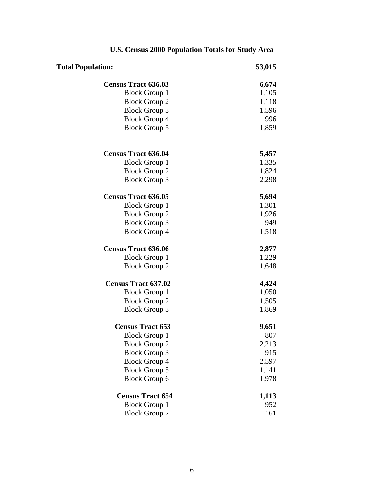| <b>Total Population:</b>   | 53,015 |
|----------------------------|--------|
| <b>Census Tract 636.03</b> | 6,674  |
| <b>Block Group 1</b>       | 1,105  |
| <b>Block Group 2</b>       | 1,118  |
| <b>Block Group 3</b>       | 1,596  |
| <b>Block Group 4</b>       | 996    |
| <b>Block Group 5</b>       | 1,859  |
| <b>Census Tract 636.04</b> | 5,457  |
| <b>Block Group 1</b>       | 1,335  |
| <b>Block Group 2</b>       | 1,824  |
| <b>Block Group 3</b>       | 2,298  |
| <b>Census Tract 636.05</b> | 5,694  |
| <b>Block Group 1</b>       | 1,301  |
| <b>Block Group 2</b>       | 1,926  |
| <b>Block Group 3</b>       | 949    |
| <b>Block Group 4</b>       | 1,518  |
| <b>Census Tract 636.06</b> | 2,877  |
| <b>Block Group 1</b>       | 1,229  |
| <b>Block Group 2</b>       | 1,648  |
| <b>Census Tract 637.02</b> | 4,424  |
| <b>Block Group 1</b>       | 1,050  |
| <b>Block Group 2</b>       | 1,505  |
| <b>Block Group 3</b>       | 1,869  |
| <b>Census Tract 653</b>    | 9,651  |
| <b>Block Group 1</b>       | 807    |
| <b>Block Group 2</b>       | 2,213  |
| <b>Block Group 3</b>       | 915    |
| <b>Block Group 4</b>       | 2,597  |
| <b>Block Group 5</b>       | 1,141  |
| <b>Block Group 6</b>       | 1,978  |
| <b>Census Tract 654</b>    | 1,113  |
| <b>Block Group 1</b>       | 952    |
| <b>Block Group 2</b>       | 161    |

## **U.S. Census 2000 Population Totals for Study Area**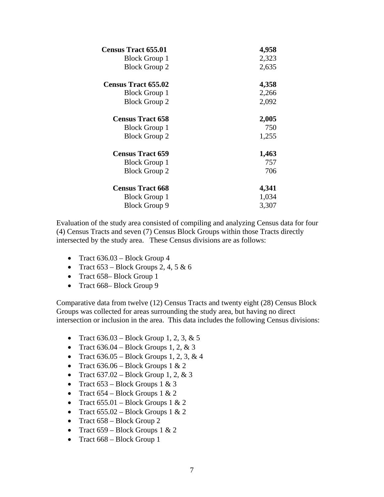| <b>Census Tract 655.01</b> | 4,958 |
|----------------------------|-------|
| <b>Block Group 1</b>       | 2,323 |
| <b>Block Group 2</b>       | 2,635 |
| <b>Census Tract 655.02</b> | 4,358 |
| <b>Block Group 1</b>       | 2,266 |
| <b>Block Group 2</b>       | 2,092 |
| <b>Census Tract 658</b>    | 2,005 |
| <b>Block Group 1</b>       | 750   |
| <b>Block Group 2</b>       | 1,255 |
| <b>Census Tract 659</b>    | 1,463 |
| <b>Block Group 1</b>       | 757   |
| <b>Block Group 2</b>       | 706   |
| <b>Census Tract 668</b>    | 4,341 |
| <b>Block Group 1</b>       | 1,034 |
| <b>Block Group 9</b>       | 3,307 |

Evaluation of the study area consisted of compiling and analyzing Census data for four (4) Census Tracts and seven (7) Census Block Groups within those Tracts directly intersected by the study area. These Census divisions are as follows:

- Tract 636.03 Block Group 4
- Tract  $653 Block$  Groups 2, 4, 5 & 6
- Tract 658– Block Group 1
- Tract 668– Block Group 9

Comparative data from twelve (12) Census Tracts and twenty eight (28) Census Block Groups was collected for areas surrounding the study area, but having no direct intersection or inclusion in the area.This data includes the following Census divisions:

- Tract  $636.03 Block Group 1, 2, 3, \& 5$
- Tract  $636.04$  Block Groups 1, 2, & 3
- Tract  $636.05 Block$  Groups 1, 2, 3, & 4
- Tract  $636.06$  Block Groups 1 & 2
- Tract  $637.02 Block Group 1, 2, & 3$
- Tract  $653 Block$  Groups 1 & 3
- Tract  $654 Block$  Groups 1 & 2
- Tract  $655.01 Block$  Groups 1 & 2
- Tract  $655.02$  Block Groups 1 & 2
- Tract  $658 Block$  Group 2
- Tract  $659 Block$  Groups 1 & 2
- Tract 668 Block Group 1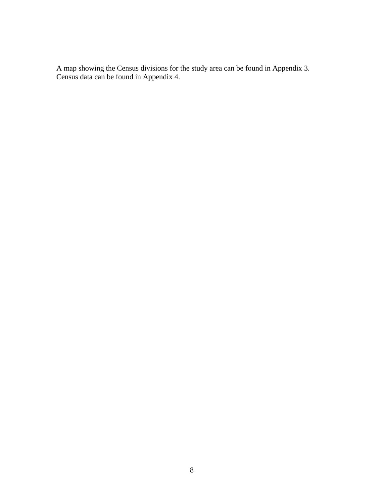A map showing the Census divisions for the study area can be found in Appendix 3. Census data can be found in Appendix 4.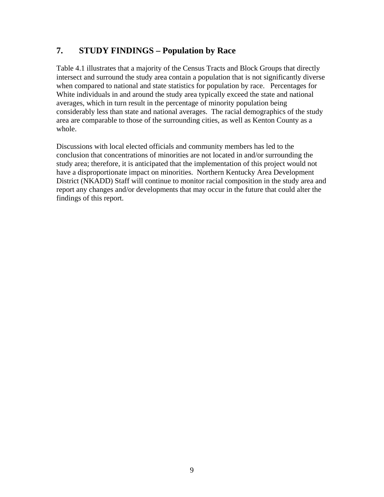#### **7. STUDY FINDINGS – Population by Race**

Table 4.1 illustrates that a majority of the Census Tracts and Block Groups that directly intersect and surround the study area contain a population that is not significantly diverse when compared to national and state statistics for population by race. Percentages for White individuals in and around the study area typically exceed the state and national averages, which in turn result in the percentage of minority population being considerably less than state and national averages. The racial demographics of the study area are comparable to those of the surrounding cities, as well as Kenton County as a whole.

Discussions with local elected officials and community members has led to the conclusion that concentrations of minorities are not located in and/or surrounding the study area; therefore, it is anticipated that the implementation of this project would not have a disproportionate impact on minorities. Northern Kentucky Area Development District (NKADD) Staff will continue to monitor racial composition in the study area and report any changes and/or developments that may occur in the future that could alter the findings of this report.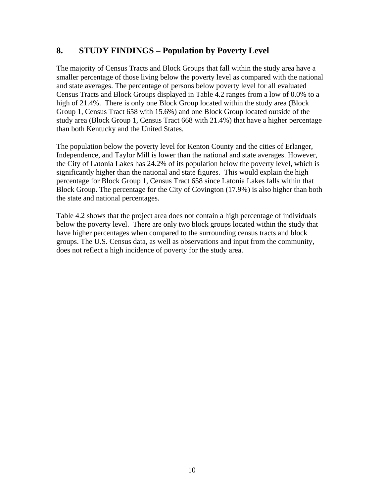#### **8. STUDY FINDINGS – Population by Poverty Level**

The majority of Census Tracts and Block Groups that fall within the study area have a smaller percentage of those living below the poverty level as compared with the national and state averages. The percentage of persons below poverty level for all evaluated Census Tracts and Block Groups displayed in Table 4.2 ranges from a low of 0.0% to a high of 21.4%. There is only one Block Group located within the study area (Block Group 1, Census Tract 658 with 15.6%) and one Block Group located outside of the study area (Block Group 1, Census Tract 668 with 21.4%) that have a higher percentage than both Kentucky and the United States.

The population below the poverty level for Kenton County and the cities of Erlanger, Independence, and Taylor Mill is lower than the national and state averages. However, the City of Latonia Lakes has 24.2% of its population below the poverty level, which is significantly higher than the national and state figures. This would explain the high percentage for Block Group 1, Census Tract 658 since Latonia Lakes falls within that Block Group. The percentage for the City of Covington (17.9%) is also higher than both the state and national percentages.

Table 4.2 shows that the project area does not contain a high percentage of individuals below the poverty level. There are only two block groups located within the study that have higher percentages when compared to the surrounding census tracts and block groups. The U.S. Census data, as well as observations and input from the community, does not reflect a high incidence of poverty for the study area.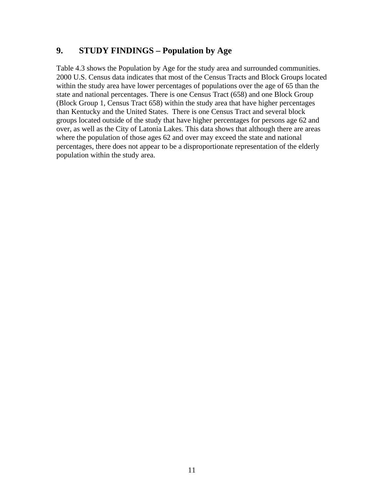#### **9. STUDY FINDINGS – Population by Age**

Table 4.3 shows the Population by Age for the study area and surrounded communities. 2000 U.S. Census data indicates that most of the Census Tracts and Block Groups located within the study area have lower percentages of populations over the age of 65 than the state and national percentages. There is one Census Tract (658) and one Block Group (Block Group 1, Census Tract 658) within the study area that have higher percentages than Kentucky and the United States. There is one Census Tract and several block groups located outside of the study that have higher percentages for persons age 62 and over, as well as the City of Latonia Lakes. This data shows that although there are areas where the population of those ages 62 and over may exceed the state and national percentages, there does not appear to be a disproportionate representation of the elderly population within the study area.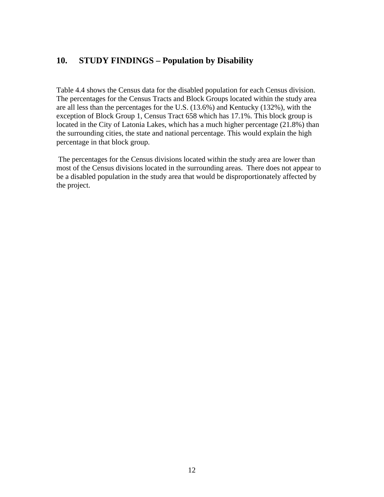#### **10. STUDY FINDINGS – Population by Disability**

Table 4.4 shows the Census data for the disabled population for each Census division. The percentages for the Census Tracts and Block Groups located within the study area are all less than the percentages for the U.S. (13.6%) and Kentucky (132%), with the exception of Block Group 1, Census Tract 658 which has 17.1%. This block group is located in the City of Latonia Lakes, which has a much higher percentage (21.8%) than the surrounding cities, the state and national percentage. This would explain the high percentage in that block group.

 The percentages for the Census divisions located within the study area are lower than most of the Census divisions located in the surrounding areas. There does not appear to be a disabled population in the study area that would be disproportionately affected by the project.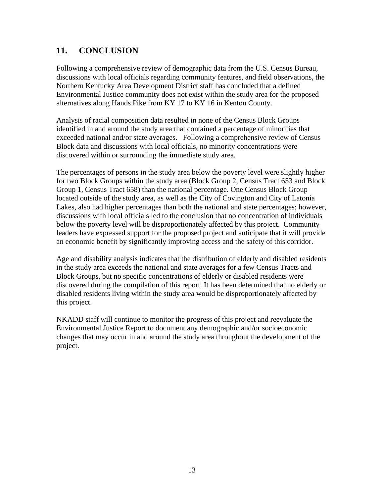### **11. CONCLUSION**

Following a comprehensive review of demographic data from the U.S. Census Bureau, discussions with local officials regarding community features, and field observations, the Northern Kentucky Area Development District staff has concluded that a defined Environmental Justice community does not exist within the study area for the proposed alternatives along Hands Pike from KY 17 to KY 16 in Kenton County.

Analysis of racial composition data resulted in none of the Census Block Groups identified in and around the study area that contained a percentage of minorities that exceeded national and/or state averages. Following a comprehensive review of Census Block data and discussions with local officials, no minority concentrations were discovered within or surrounding the immediate study area.

The percentages of persons in the study area below the poverty level were slightly higher for two Block Groups within the study area (Block Group 2, Census Tract 653 and Block Group 1, Census Tract 658) than the national percentage. One Census Block Group located outside of the study area, as well as the City of Covington and City of Latonia Lakes, also had higher percentages than both the national and state percentages; however, discussions with local officials led to the conclusion that no concentration of individuals below the poverty level will be disproportionately affected by this project. Community leaders have expressed support for the proposed project and anticipate that it will provide an economic benefit by significantly improving access and the safety of this corridor.

Age and disability analysis indicates that the distribution of elderly and disabled residents in the study area exceeds the national and state averages for a few Census Tracts and Block Groups, but no specific concentrations of elderly or disabled residents were discovered during the compilation of this report. It has been determined that no elderly or disabled residents living within the study area would be disproportionately affected by this project.

NKADD staff will continue to monitor the progress of this project and reevaluate the Environmental Justice Report to document any demographic and/or socioeconomic changes that may occur in and around the study area throughout the development of the project.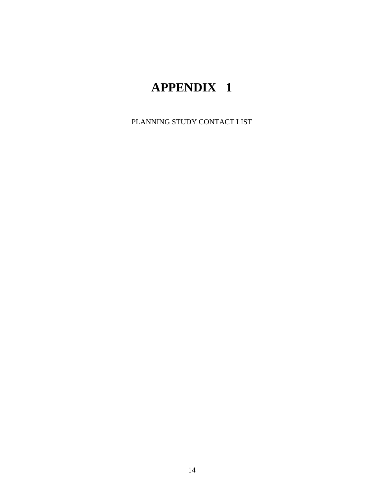# **APPENDIX 1**

PLANNING STUDY CONTACT LIST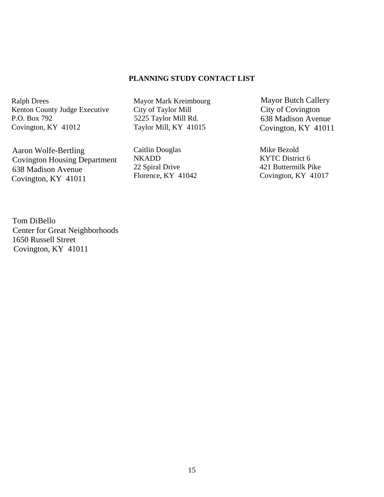#### **PLANNING STUDY CONTACT LIST**

Ralph Drees Kenton County Judge Executive P.O. Box 792 Covington, KY 41012

 Aaron Wolfe-Bertling Covington Housing Department 638 Madison Avenue Covington, KY 41011

Mayor Mark Kreimbourg City of Taylor Mill 5225 Taylor Mill Rd. Taylor Mill, KY 41015

Caitlin Douglas NKADD 22 Spiral Drive Florence, KY 41042

 Mayor Butch Callery City of Covington 638 Madison Avenue Covington, KY 41011

Mike Bezold KYTC District 6 421 Buttermilk Pike Covington, KY 41017

 Tom DiBello Center for Great Neighborhoods 1650 Russell Street Covington, KY 41011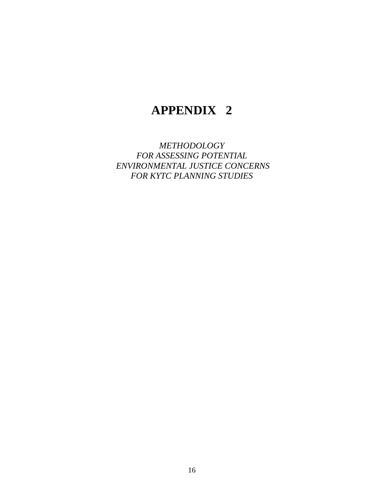## **APPENDIX 2**

*METHODOLOGY FOR ASSESSING POTENTIAL ENVIRONMENTAL JUSTICE CONCERNS FOR KYTC PLANNING STUDIES*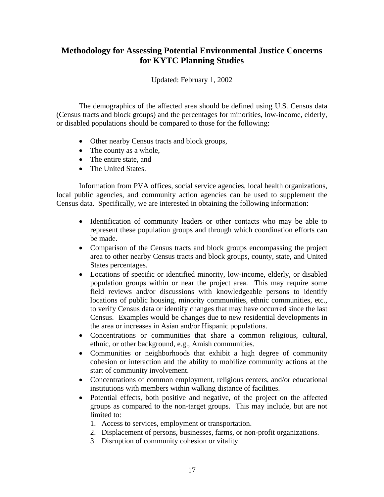#### **Methodology for Assessing Potential Environmental Justice Concerns for KYTC Planning Studies**

Updated: February 1, 2002

The demographics of the affected area should be defined using U.S. Census data (Census tracts and block groups) and the percentages for minorities, low-income, elderly, or disabled populations should be compared to those for the following:

- Other nearby Census tracts and block groups,
- The county as a whole,
- The entire state, and
- The United States.

Information from PVA offices, social service agencies, local health organizations, local public agencies, and community action agencies can be used to supplement the Census data. Specifically, we are interested in obtaining the following information:

- Identification of community leaders or other contacts who may be able to represent these population groups and through which coordination efforts can be made.
- Comparison of the Census tracts and block groups encompassing the project area to other nearby Census tracts and block groups, county, state, and United States percentages.
- Locations of specific or identified minority, low-income, elderly, or disabled population groups within or near the project area. This may require some field reviews and/or discussions with knowledgeable persons to identify locations of public housing, minority communities, ethnic communities, etc., to verify Census data or identify changes that may have occurred since the last Census. Examples would be changes due to new residential developments in the area or increases in Asian and/or Hispanic populations.
- Concentrations or communities that share a common religious, cultural, ethnic, or other background, e.g., Amish communities.
- Communities or neighborhoods that exhibit a high degree of community cohesion or interaction and the ability to mobilize community actions at the start of community involvement.
- Concentrations of common employment, religious centers, and/or educational institutions with members within walking distance of facilities.
- Potential effects, both positive and negative, of the project on the affected groups as compared to the non-target groups. This may include, but are not limited to:
	- 1. Access to services, employment or transportation.
	- 2. Displacement of persons, businesses, farms, or non-profit organizations.
	- 3. Disruption of community cohesion or vitality.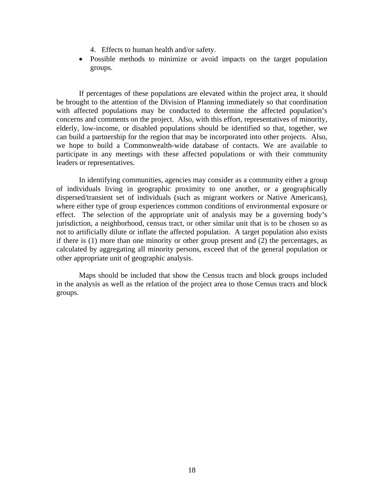- 4. Effects to human health and/or safety.
- Possible methods to minimize or avoid impacts on the target population groups.

If percentages of these populations are elevated within the project area, it should be brought to the attention of the Division of Planning immediately so that coordination with affected populations may be conducted to determine the affected population's concerns and comments on the project. Also, with this effort, representatives of minority, elderly, low-income, or disabled populations should be identified so that, together, we can build a partnership for the region that may be incorporated into other projects. Also, we hope to build a Commonwealth-wide database of contacts. We are available to participate in any meetings with these affected populations or with their community leaders or representatives.

In identifying communities, agencies may consider as a community either a group of individuals living in geographic proximity to one another, or a geographically dispersed/transient set of individuals (such as migrant workers or Native Americans), where either type of group experiences common conditions of environmental exposure or effect. The selection of the appropriate unit of analysis may be a governing body's jurisdiction, a neighborhood, census tract, or other similar unit that is to be chosen so as not to artificially dilute or inflate the affected population. A target population also exists if there is (1) more than one minority or other group present and (2) the percentages, as calculated by aggregating all minority persons, exceed that of the general population or other appropriate unit of geographic analysis.

Maps should be included that show the Census tracts and block groups included in the analysis as well as the relation of the project area to those Census tracts and block groups.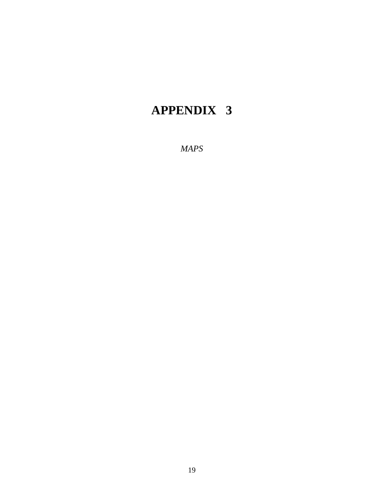# **APPENDIX 3**

*MAPS*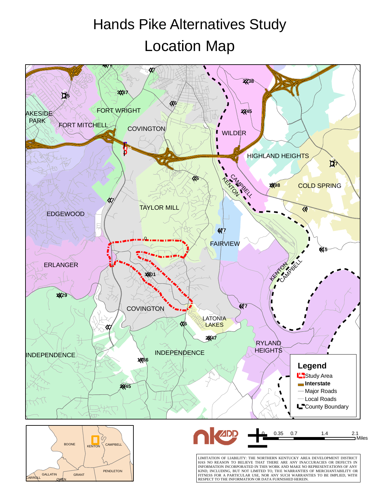# Location Map Hands Pike Alternatives Study







LIMITATION OF LIABILITY: THE NORTHERN KENTUCKY AREA DEVELOPMENT DISTRICT<br>HAS NO REASON TO BELIEVE THAT THERE ARE ANY INACCURACIES OR DEFECTS IN<br>INFORMATION INCORPORATED IN THIS WORK AND MAKE NO REPRESENTATIONS OF ANY<br>KIND, FITNESS FOR A PARTICULAR USE, NOR ANY SUCH WARRANTIES TO BE IMPLIED, WITH RESPECT TO THE INFORMATION OR DATA FURNISHED HEREIN.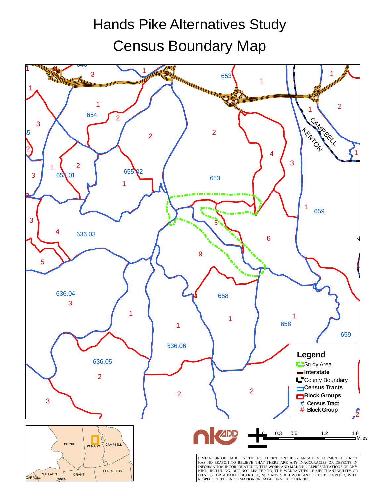# Census Boundary Map Hands Pike Alternatives Study

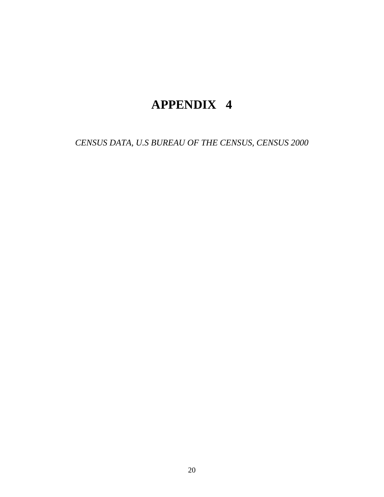# **APPENDIX 4**

*CENSUS DATA, U.S BUREAU OF THE CENSUS, CENSUS 2000*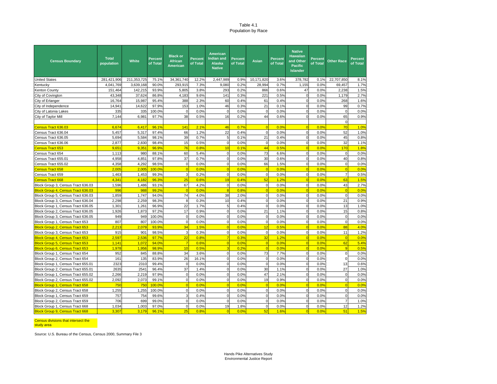#### Table 4.1Population by Race

| <b>Census Boundary</b>                 | <b>Total</b><br>population | <b>White</b> | <b>Percent</b><br>of Total | <b>Black or</b><br><b>African</b><br><b>American</b> | <b>Percent</b><br>of Total | American<br><b>Indian and</b><br><b>Alaska</b><br><b>Native</b> | <b>Percent</b><br>of Total | <b>Asian</b>   | Percent<br>of Total | <b>Native</b><br><b>Hawaiian</b><br>and Other<br><b>Pacific</b><br><b>Islander</b> | <b>Percent</b><br>of Total | <b>Other Race</b> | <b>Percent</b><br>of Total |
|----------------------------------------|----------------------------|--------------|----------------------------|------------------------------------------------------|----------------------------|-----------------------------------------------------------------|----------------------------|----------------|---------------------|------------------------------------------------------------------------------------|----------------------------|-------------------|----------------------------|
| <b>United States</b>                   | 281,421,906                | 211,353,725  | 75.1%                      | 34, 361, 740                                         | 12.2%                      | 2,447,989                                                       | 0.9%                       | 10,171,820     | 3.6%                | 378.782                                                                            | 0.1%                       | 22,707,850        | 8.1%                       |
| Kentucky                               | 4,041,769                  | 3,639,168    | 90.0%                      | 293,915                                              | 7.3%                       | 9,080                                                           | 0.2%                       | 28,994         | 0.7%                | 1,155                                                                              | 0.0%                       | 69,457            | 1.7%                       |
| <b>Kenton County</b>                   | 151,464                    | 142,215      | 93.9%                      | 5,805                                                | 3.8%                       | 293                                                             | 0.2%                       | 866            | 0.6%                | 47                                                                                 | 0.0%                       | 2.236             | 1.5%                       |
| City of Covington                      | 43,348                     | 37,624       | 86.8%                      | 4,183                                                | 9.6%                       | 141                                                             | 0.3%                       | 221            | 0.5%                | $\mathbf 0$                                                                        | 0.0%                       | 1,179             | 2.7%                       |
| City of Erlanger                       | 16,764                     | 15,987       | 95.4%                      | 388                                                  | 2.3%                       | 60                                                              | 0.4%                       | 61             | 0.4%                | $\mathbf 0$                                                                        | 0.0%                       | 268               | 1.6%                       |
| City of Independence                   | 14,941                     | 14,622       | 97.9%                      | 153                                                  | 1.0%                       | 46                                                              | 0.3%                       | 21             | 0.1%                | $\mathbf 0$                                                                        | 0.0%                       | 99                | 0.7%                       |
| City of Latonia Lakes                  | 335                        | 335          | 100.0%                     | $\mathbf 0$                                          | 0.0%                       | $\mathbf 0$                                                     | 0.0%                       | $\mathbf 0$    | 0.0%                | $\mathbf 0$                                                                        | 0.0%                       | $\mathbf 0$       | 0.0%                       |
| City of Taylor Mill                    | 7,144                      | 6,981        | 97.7%                      | 38                                                   | 0.5%                       | 16                                                              | 0.2%                       | 44             | 0.6%                | $\Omega$                                                                           | 0.0%                       | 65                | 0.9%                       |
|                                        |                            |              |                            |                                                      |                            |                                                                 |                            |                |                     |                                                                                    |                            | $\mathbf 0$       |                            |
| Census Tract 636.03                    | 6,674                      | 6.417        | 96.1%                      | 141                                                  | 2.1%                       | 46                                                              | 0.7%                       | $\overline{0}$ | 0.0%                | $\Omega$                                                                           | 0.0%                       | 70                | 1.0%                       |
| Census Tract 636.04                    | 5,457                      | 5,317        | 97.4%                      | 66                                                   | 1.2%                       | 22                                                              | 0.4%                       | $\mathbf{0}$   | 0.0%                | $\mathbf 0$                                                                        | 0.0%                       | 52                | 1.0%                       |
| Census Tract 636.05                    | 5,694                      | 5,584        | 98.1%                      | 39                                                   | 0.7%                       | 5                                                               | 0.1%                       | 21             | 0.4%                | $\Omega$                                                                           | 0.0%                       | 45                | 0.8%                       |
| Census Tract 636.06                    | 2,877                      | 2,830        | 98.4%                      | 15                                                   | 0.5%                       | $\mathbf 0$                                                     | 0.0%                       | $\mathbf 0$    | 0.0%                | $\mathbf 0$                                                                        | 0.0%                       | 32                | 1.1%                       |
| <b>Census Tract 653</b>                | 9,65                       | 9,35'        | 96.9%                      | 76                                                   | 0.8%                       | 10                                                              | 0.1%                       | 44             | 0.5%                | $\overline{0}$                                                                     | 0.0%                       | 170               | 1.8%                       |
| Census Tract 654                       | 1,113                      | 980          | 88.1%                      | 60                                                   | 5.4%                       | $\mathbf 0$                                                     | 0.0%                       | 73             | 6.6%                | $\mathbf 0$                                                                        | 0.0%                       | $\mathbf 0$       | 0.0%                       |
| Census Tract 655.01                    | 4,958                      | 4,851        | 97.8%                      | 37                                                   | 0.7%                       | $\mathbf 0$                                                     | 0.0%                       | 30             | 0.6%                | $\mathbf 0$                                                                        | 0.0%                       | 40                | 0.8%                       |
| Census Tract 655.02                    | 4,358                      | 4,292        | 98.5%                      | $\mathbf 0$                                          | 0.0%                       | $\mathbf 0$                                                     | 0.0%                       | 66             | 1.5%                | $\mathbf 0$                                                                        | 0.0%                       | $\mathbf 0$       | 0.0%                       |
| <b>Census Tract 658</b>                | 2,005                      | 2,005        | 100.0%                     | $\Omega$                                             | 0.0%                       | $\overline{0}$                                                  | 0.0%                       | $\overline{0}$ | 0.0%                | $\overline{0}$                                                                     | 0.0%                       | $\Omega$          | 0.0%                       |
| Census Tract 659                       | 1,463                      | 1,453        | 99.3%                      | 3                                                    | 0.2%                       | $\mathbf 0$                                                     | 0.0%                       | $\mathbf 0$    | 0.0%                | $\mathbf 0$                                                                        | 0.0%                       | $\overline{7}$    | 0.5%                       |
| <b>Census Tract 668</b>                | 4.341                      | 4.182        | 96.3%                      | 25                                                   | 0.6%                       | 19                                                              | 0.4%                       | 52             | 1.2%                | $\Omega$                                                                           | 0.0%                       | 63                | 1.5%                       |
| Block Group 3, Census Tract 636.03     | 1,596                      | 1,486        | 93.1%                      | 67                                                   | 4.2%                       | $\mathbf 0$                                                     | 0.0%                       | $\Omega$       | 0.0%                | $\Omega$                                                                           | 0.0%                       | 43                | 2.7%                       |
| Block Group 4, Census Tract 636.03     | 996                        | 988          | 99.2%                      | $\Omega$                                             | 0.0%                       | $\overline{8}$                                                  | 0.8%                       | $\Omega$       | 0.0%                | $\Omega$                                                                           | 0.0%                       | $\Omega$          | 0.0%                       |
| Block Group 5, Census Tract 636.03     | 1.859                      | 1.747        | 94.0%                      | 74                                                   | 4.0%                       | 38                                                              | 2.0%                       | $\Omega$       | 0.0%                | $\Omega$                                                                           | 0.0%                       | $\Omega$          | 0.0%                       |
| Block Group 3, Census Tract 636.04     | 2,298                      | 2.259        | 98.3%                      | 8                                                    | 0.3%                       | 10                                                              | 0.4%                       | $\Omega$       | 0.0%                | $\Omega$                                                                           | 0.0%                       | 21                | 0.9%                       |
| Block Group 1, Census Tract 636.05     | 1,301                      | 1.261        | 96.9%                      | 22                                                   | 1.7%                       | 5                                                               | 0.4%                       | $\Omega$       | 0.0%                | $\Omega$                                                                           | 0.0%                       | 13                | 1.0%                       |
| Block Group 2, Census Tract 636.05     | 1,926                      | 1,873        | 97.2%                      | 17                                                   | 0.9%                       | $\mathbf 0$                                                     | 0.0%                       | 21             | 1.1%                | $\mathbf 0$                                                                        | 0.0%                       | 15                | 0.8%                       |
| Block Group 3, Census Tract 636.05     | 949                        | 949          | 100.0%                     | $\Omega$                                             | 0.0%                       | $\Omega$                                                        | 0.0%                       | $\Omega$       | 0.0%                | $\Omega$                                                                           | 0.0%                       | $\Omega$          | 0.0%                       |
| Block Group 1, Census Tract 653        | 807                        | 807          | 100.0%                     | $\Omega$                                             | 0.0%                       | $\Omega$                                                        | 0.0%                       | $\Omega$       | 0.0%                | $\Omega$                                                                           | 0.0%                       | $\Omega$          | 0.0%                       |
| <b>Block Group 2, Census Tract 653</b> | 2,213                      | 2,079        | 93.9%                      | 34                                                   | 1.5%                       | $\sqrt{ }$                                                      | 0.0%                       | 12             | 0.5%                | $\Omega$                                                                           | 0.0%                       | 88                | 4.0%                       |
| Block Group 3, Census Tract 653        | 915                        | 901          | 98.5%                      | $\overline{3}$                                       | 0.3%                       | $\mathbf 0$                                                     | 0.0%                       | $\Omega$       | 0.0%                | $\mathbf 0$                                                                        | 0.0%                       | 11                | 1.2%                       |
| <b>Block Group 4, Census Tract 653</b> | 2.597                      | 2.536        | 97.7%                      | 22                                                   | 0.8%                       | 7                                                               | 0.3%                       | 32             | 1.2%                | $\Omega$                                                                           | 0.0%                       | $\Omega$          | 0.0%                       |
| <b>Block Group 5, Census Tract 653</b> | 1,141                      | 1,072        | 94.0%                      | $\overline{7}$                                       | 0.6%                       | $\overline{0}$                                                  | 0.0%                       | $\overline{0}$ | 0.0%                | $\overline{0}$                                                                     | 0.0%                       | 62                | 5.4%                       |
| Block Group 6, Census Tract 653        | 1,978                      | 1,956        | 98.9%                      | 10                                                   | 0.5%                       | p                                                               | 0.2%                       | $\Omega$       | 0.0%                | $\Omega$                                                                           | 0.0%                       | <sub>9</sub>      | 0.5%                       |
| Block Group 1, Census Tract 654        | 952                        | 845          | 88.8%                      | 34                                                   | 3.6%                       | $\mathbf 0$                                                     | 0.0%                       | 73             | 7.7%                | $\mathbf 0$                                                                        | 0.0%                       | $\Omega$          | 0.0%                       |
| Block Group 2, Census Tract 654        | 161                        | 135          | 83.9%                      | 26                                                   | 16.1%                      | $\mathbf 0$                                                     | 0.0%                       | $\mathbf 0$    | 0.0%                | $\mathbf 0$                                                                        | 0.0%                       | $\Omega$          | 0.0%                       |
| Block Group 1, Census Tract 655.01     | 2323                       | 2310         | 99.4%                      | $\overline{0}$                                       | 0.0%                       | $\mathbf 0$                                                     | 0.0%                       | $\mathbf 0$    | 0.0%                | $\mathbf 0$                                                                        | 0.0%                       | 13                | 0.6%                       |
| Block Group 2, Census Tract 655.01     | 2635                       | 2541         | 96.4%                      | 37                                                   | 1.4%                       | $\mathbf 0$                                                     | 0.0%                       | 30             | 1.1%                | $\mathbf 0$                                                                        | 0.0%                       | 27                | 1.0%                       |
| Block Group 1, Census Tract 655.02     | 2,266                      | 2,219        | 97.9%                      | $\mathbf 0$                                          | 0.0%                       | $\mathbf 0$                                                     | 0.0%                       | 47             | 2.1%                | $\mathbf 0$                                                                        | 0.0%                       | $\mathbf 0$       | 0.0%                       |
| Block Group 2, Census Tract 655.02     | 2,092                      | 2,073        | 99.1%                      | $\Omega$                                             | 0.0%                       | $\mathbf 0$                                                     | 0.0%                       | 19             | 0.9%                | $\mathbf 0$                                                                        | 0.0%                       | $\mathbf 0$       | 0.0%                       |
| <b>Block Group 1, Census Tract 658</b> | 750                        | 750          | 100.0%                     | $\Omega$                                             | 0.0%                       | $\sqrt{ }$                                                      | 0.0%                       | $\overline{0}$ | 0.0%                | $\overline{0}$                                                                     | 0.0%                       | $\sqrt{ }$        | 0.0%                       |
| Block Group 2, Census Tract 658        | 1,255                      | 1,255        | 100.0%                     | $\Omega$                                             | 0.0%                       | $\mathbf 0$                                                     | 0.0%                       | $\Omega$       | 0.0%                | $\mathbf 0$                                                                        | 0.0%                       | $\Omega$          | 0.0%                       |
| Block Group 1, Census Tract 659        | 757                        | 754          | 99.6%                      | $\overline{3}$                                       | 0.4%                       | $\mathbf 0$                                                     | 0.0%                       | $\mathbf 0$    | 0.0%                | $\mathbf 0$                                                                        | 0.0%                       | $\Omega$          | 0.0%                       |
| Block Group 2, Census Tract 659        | 706                        | 699          | 99.0%                      | $\Omega$                                             | 0.0%                       | $\Omega$                                                        | 0.0%                       | $\Omega$       | 0.0%                | $\Omega$                                                                           | 0.0%                       | $\overline{7}$    | 1.0%                       |
| Block Group 1, Census Tract 668        | 1,034                      | 1,003        | 97.0%                      | $\Omega$                                             | 0.0%                       | 19                                                              | 1.8%                       | $\Omega$       | 0.0%                | $\mathbf 0$                                                                        | 0.0%                       | 12                | 1.2%                       |
| Block Group 9, Census Tract 668        | 3.307                      | 3,179        | 96.1%                      | 25                                                   | 0.8%                       | $\overline{0}$                                                  | 0.0%                       | 52             | 1.6%                | $\overline{0}$                                                                     | 0.0%                       | 51                | 1.5%                       |

#### Census divisions that intersect the

study area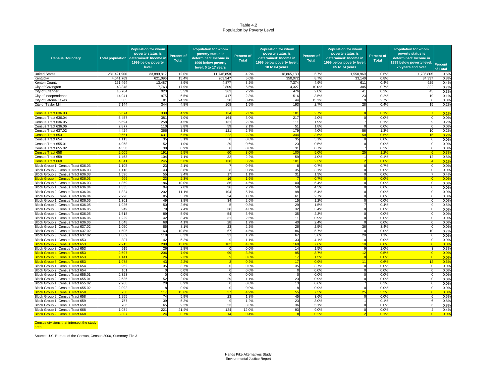#### Table 4.2Population by Poverty Level

| <b>Census Boundary</b>                                                   |                          | <b>Population for whom</b><br>poverty status is<br>Total population determined: Income in<br>1999 below poverty<br>level | Percent of<br><b>Total</b> | <b>Population for whom</b><br>poverty status is<br>determined: Income in<br>1999 below poverty<br>level; 0 to 17 years | <b>Percent of</b><br><b>Total</b> | <b>Population for whom</b><br>poverty status is<br>determined: Income in<br>1999 below poverty level;<br>18 to 64 years | <b>Percent of</b><br><b>Total</b> | <b>Population for whom</b><br>poverty status is<br>determined: Income in<br>1999 below poverty level;<br>65 to 74 years | <b>Percent of</b><br><b>Total</b> | <b>Population for whom</b><br>poverty status is<br>determined: Income in<br>1999 below poverty level;<br>75 years and over | <b>Percent</b><br>of Total |
|--------------------------------------------------------------------------|--------------------------|--------------------------------------------------------------------------------------------------------------------------|----------------------------|------------------------------------------------------------------------------------------------------------------------|-----------------------------------|-------------------------------------------------------------------------------------------------------------------------|-----------------------------------|-------------------------------------------------------------------------------------------------------------------------|-----------------------------------|----------------------------------------------------------------------------------------------------------------------------|----------------------------|
| <b>United States</b>                                                     | 281,421,906              | 33,899,812                                                                                                               | 12.0%                      | 11,746,858                                                                                                             | 4.2%                              | 18,865,180                                                                                                              | 6.7%                              | 1,550,969                                                                                                               | 0.6%                              | 1,736,805                                                                                                                  | 0.6%                       |
| Kentucky                                                                 | 4,041,769                | 621,096                                                                                                                  | 15.4%                      | 203,547                                                                                                                | 5.0%                              | 350,072                                                                                                                 | 8.7%                              | 33,140                                                                                                                  | 0.8%                              | 34,337                                                                                                                     | 0.8%                       |
| Kenton County                                                            | 151.464                  | 13.487                                                                                                                   | 8.9%                       | 4,877                                                                                                                  | 3.2%                              | 7,374                                                                                                                   | 4.9%                              | 611                                                                                                                     | 0.4%                              | 625                                                                                                                        | 0.4%                       |
| City of Covington                                                        | 43,348                   | 7,763                                                                                                                    | 17.9%                      | 2,809                                                                                                                  | 6.5%                              | 4,327                                                                                                                   | 10.0%                             | 305                                                                                                                     | 0.7%                              | 322                                                                                                                        | 0.7%                       |
| City of Erlanger                                                         | 16,764                   | 923                                                                                                                      | 5.5%                       | 363                                                                                                                    | 2.2%                              | 476                                                                                                                     | 2.8%                              | 41                                                                                                                      | 0.2%                              | 43                                                                                                                         | 0.3%                       |
| City of Independence                                                     | 14.94                    | 975                                                                                                                      | 6.5%                       | 417                                                                                                                    | 2.8%                              | 516                                                                                                                     | 3.5%                              | 23                                                                                                                      | 0.2%                              | 19                                                                                                                         | 0.1%                       |
| City of Latonia Lakes                                                    | 335                      | 81                                                                                                                       | 24.2%                      | 28                                                                                                                     | 8.4%                              | 44                                                                                                                      | 13.19                             |                                                                                                                         | 2.7%                              |                                                                                                                            | 0.0%                       |
| City of Taylor Mill                                                      | 7,144                    | 344                                                                                                                      | 4.8%                       | 108                                                                                                                    | 1.5%                              | 193                                                                                                                     | 2.7%                              | 28                                                                                                                      | 0.4%                              | 15                                                                                                                         | 0.2%                       |
|                                                                          |                          |                                                                                                                          |                            |                                                                                                                        |                                   |                                                                                                                         |                                   |                                                                                                                         |                                   |                                                                                                                            |                            |
| ensus Tract 636.03                                                       | 6,67                     | 330                                                                                                                      | 4.9%                       | 134                                                                                                                    | 2.09                              | 181                                                                                                                     | 2.7%                              |                                                                                                                         | 0.19                              |                                                                                                                            | 0.1%                       |
| Census Tract 636.04                                                      | 5,457                    | 381                                                                                                                      | 7.0%                       | 164                                                                                                                    | 3.0%                              | 217                                                                                                                     | 4.0%                              |                                                                                                                         | 0.0%                              | $\Omega$                                                                                                                   | 0.0%                       |
| Census Tract 636.05                                                      | 5,694                    | 258                                                                                                                      | 4.5%                       | 131                                                                                                                    | 2.3%                              | 111                                                                                                                     | 1.9%                              |                                                                                                                         | 0.19                              |                                                                                                                            | 0.2%                       |
| Census Tract 636.06                                                      | 2,877                    | 110                                                                                                                      | 3.8%                       | 59                                                                                                                     | 2.1%                              | 51                                                                                                                      | 1.8%                              |                                                                                                                         | 0.0%                              |                                                                                                                            | 0.0%                       |
| Census Tract 637.02                                                      | 4.424                    | 366                                                                                                                      | 8.3%                       | 121                                                                                                                    | 2.7%                              | 179                                                                                                                     | 4.0%                              | 56                                                                                                                      | 1.3%                              | 10                                                                                                                         | 0.2%                       |
| ensus Tract 653                                                          | 9.65                     | 631                                                                                                                      | 6.5 <sup>6</sup>           | 222                                                                                                                    | 2.39                              | 344                                                                                                                     | 3.6 <sup>°</sup>                  | 50                                                                                                                      | 0.59                              | 15                                                                                                                         | 0.2%                       |
| Census Tract 654                                                         | 1,113                    | 35                                                                                                                       | 3.1%                       | $\Omega$                                                                                                               | 0.0%                              | 35                                                                                                                      | 3.1%                              |                                                                                                                         | 0.0%                              | $\Omega$                                                                                                                   | 0.0%                       |
| Census Tract 655.01                                                      | 4,958                    | 52                                                                                                                       | 1.0%                       | 29                                                                                                                     | 0.6%                              | 23                                                                                                                      | 0.5%                              |                                                                                                                         | 0.0%                              | $\Omega$                                                                                                                   | 0.0%                       |
| Census Tract 655.02                                                      | 4,358                    | 38                                                                                                                       | 0.9%                       | $\Omega$                                                                                                               | 0.0%                              | 31                                                                                                                      | 0.7%                              |                                                                                                                         | 0.2%                              | $\Omega$                                                                                                                   | 0.0%                       |
| ensus Tract 65                                                           | 2.00                     | 191                                                                                                                      | 9.5                        | 60                                                                                                                     | 3.09                              | 10 <sub>C</sub>                                                                                                         | 5.0                               |                                                                                                                         | 1.2                               |                                                                                                                            | 0.3%                       |
| Census Tract 659                                                         | 1.463                    | 104                                                                                                                      | 7.1%                       | 32                                                                                                                     | 2.2%                              | 59                                                                                                                      | 4.0%                              |                                                                                                                         | 0.1%                              | 12                                                                                                                         | 0.8%                       |
| ensus Tract 668                                                          | 4,34                     | 245                                                                                                                      | 5.69                       | 138                                                                                                                    | 3.29                              | 101                                                                                                                     | 2.3%                              |                                                                                                                         | 0.0 <sup>o</sup>                  |                                                                                                                            | 0.1%                       |
| Block Group 1, Census Tract 636.03                                       | 1,105                    | 23                                                                                                                       | 2.1%                       | 7                                                                                                                      | 0.6%                              | 8                                                                                                                       | 0.7%                              |                                                                                                                         | 0.7%                              | $\Omega$                                                                                                                   | 0.0%                       |
| Block Group 2, Census Tract 636.03                                       | 1,118                    | 43                                                                                                                       | 3.8%                       | 8                                                                                                                      | 0.7%                              | 35                                                                                                                      | 3.1%                              |                                                                                                                         | 0.0%                              |                                                                                                                            | 0.0%                       |
| Block Group 3, Census Tract 636.03                                       | 1,596                    | 55                                                                                                                       | 3.4%                       | 17                                                                                                                     | 1.1%                              | 31                                                                                                                      | 1.9%                              | $\Omega$                                                                                                                | 0.0%                              |                                                                                                                            | 0.4%                       |
| Block Group 4, Census Tract 636.03                                       | 996                      | 23                                                                                                                       | 2.3 <sup>c</sup>           | 16                                                                                                                     | 1.69                              |                                                                                                                         | 0.79                              |                                                                                                                         | 0.0 <sup>o</sup>                  |                                                                                                                            | 0.0%                       |
| Block Group 5, Census Tract 636.03                                       | 1.859                    | 186                                                                                                                      | 10.0%                      | 86                                                                                                                     | 4.6%                              | 100                                                                                                                     | 5.49                              |                                                                                                                         | 0.0%                              | $\Omega$                                                                                                                   | 0.0%                       |
| Block Group 1, Census Tract 636.04                                       | 1,335                    | 94                                                                                                                       | 7.0%                       | 36                                                                                                                     | 2.7%                              | 58                                                                                                                      | 4.3%                              |                                                                                                                         | 0.09                              |                                                                                                                            | 0.0%                       |
| Block Group 2, Census Tract 636.04                                       | 1,824                    | 202                                                                                                                      | 11.19                      | 104                                                                                                                    | 5.7%                              | 98                                                                                                                      | 5.4%                              |                                                                                                                         | 0.0%                              |                                                                                                                            | 0.0%                       |
| Block Group 3, Census Tract 636.04                                       | 2.298                    | 85                                                                                                                       | 3.7%                       | 24                                                                                                                     | 1.0%                              | 61                                                                                                                      | 2.7%                              |                                                                                                                         | 0.0%                              |                                                                                                                            | 0.0%                       |
| Block Group 1, Census Tract 636.05                                       | 1,301                    | 49<br>50                                                                                                                 | 3.8%                       | 34<br>5                                                                                                                | 2.6%                              | 15<br>29                                                                                                                | 1.2%                              | $\Omega$                                                                                                                | 0.0%                              | $\Omega$                                                                                                                   | 0.0%<br>0.5%               |
| Block Group 2, Census Tract 636.05<br>Block Group 3, Census Tract 636.05 | 1,926<br>94 <sup>9</sup> | 70                                                                                                                       | 2.6%<br>7.4%               | 38                                                                                                                     | 0.3%<br>4.0%                      | 32                                                                                                                      | 1.5%<br>3.4%                      |                                                                                                                         | 0.4%<br>0.0%                      |                                                                                                                            | 0.0%                       |
| Block Group 4, Census Tract 636.05                                       | 1,518                    | 89                                                                                                                       | 5.9%                       | 54                                                                                                                     | 3.6%                              | 35                                                                                                                      | 2.3%                              |                                                                                                                         | 0.09                              |                                                                                                                            | 0.0%                       |
| Block Group 1, Census Tract 636.06                                       | 1,229                    | 42                                                                                                                       | 3.4%                       | 31                                                                                                                     | 2.5%                              | 11                                                                                                                      | 0.9%                              | $\Omega$                                                                                                                | 0.09                              | $\Omega$                                                                                                                   | 0.0%                       |
| Block Group 2, Census Tract 636.06                                       | 1.648                    | 68                                                                                                                       | 4.1%                       | 28                                                                                                                     | 1.7%                              | 40                                                                                                                      | 2.4%                              | $\Omega$                                                                                                                | 0.0%                              | $\Omega$                                                                                                                   | 0.0%                       |
| Block Group 1, Census Tract 637.02                                       | 1,050                    | 85                                                                                                                       | 8.19                       | 23                                                                                                                     | 2.2%                              | 26                                                                                                                      | 2.5%                              | 36                                                                                                                      | 3.4%                              |                                                                                                                            | 0.0%                       |
| Block Group 2, Census Tract 637.02                                       | 1,505                    | 163                                                                                                                      | 10.8%                      | 67                                                                                                                     | 4.5%                              | 86                                                                                                                      | 5.7%                              | $^{\circ}$                                                                                                              | 0.0%                              | 10                                                                                                                         | 0.7%                       |
| Block Group 3, Census Tract 637.02                                       | 1,869                    | 118                                                                                                                      | 6.3%                       | 31                                                                                                                     | 1.7%                              | 67                                                                                                                      | 3.6%                              | 20                                                                                                                      | 1.1%                              |                                                                                                                            | 0.0%                       |
| Block Group 1, Census Tract 653                                          | 807                      | 42                                                                                                                       | 5.2%                       | 9                                                                                                                      | 1.1%                              | 33                                                                                                                      | 4.1%                              | $\mathbf 0$                                                                                                             | 0.0%                              | $\Omega$                                                                                                                   | 0.0%                       |
| lock Group 2, Census Tract 65                                            | 2.21                     | 288                                                                                                                      | 13.0                       | 102 <sub>2</sub>                                                                                                       | 4.6 <sup>c</sup>                  | 168                                                                                                                     | 7.6 <sup>o</sup>                  | 18                                                                                                                      | 0.8 <sup>°</sup>                  |                                                                                                                            | 0.0%                       |
| Block Group 3, Census Tract 653                                          | 915                      | 26                                                                                                                       | 2.8%                       | $\Omega$                                                                                                               | 0.0%                              | 14                                                                                                                      | 1.5%                              |                                                                                                                         | 1.0%                              |                                                                                                                            | 0.3%                       |
| <b>Block Group 4, Census Tract 653</b>                                   | 2,59                     | 206                                                                                                                      | 7.99                       | 99                                                                                                                     | 3.89                              | 95                                                                                                                      | 3.79                              | 12                                                                                                                      | 0.5 <sup>c</sup>                  |                                                                                                                            | 0.0%                       |
| <b>Block Group 5, Census Tract 653</b>                                   | 1.14                     | 26                                                                                                                       | 2.3 <sup>°</sup>           |                                                                                                                        | 0.8%                              | 17                                                                                                                      | 1.5%                              |                                                                                                                         | 0.09                              |                                                                                                                            | 0.0%                       |
| Block Group 6, Census Tract 653                                          | 1.978                    | 43                                                                                                                       | 2.2 <sup>c</sup>           |                                                                                                                        | 0.29                              | 17                                                                                                                      | 0.9 <sup>o</sup>                  |                                                                                                                         | 0.6 <sup>°</sup>                  | 12                                                                                                                         | 0.6%                       |
| Block Group 1, Census Tract 654                                          | 952                      | 35                                                                                                                       | 3.7%                       | $\Omega$                                                                                                               | 0.0%                              | 35                                                                                                                      | 3.7%                              | $\Omega$                                                                                                                | 0.0%                              | $\Omega$                                                                                                                   | 0.0%                       |
| Block Group 2, Census Tract 654                                          | 161                      | $\Omega$                                                                                                                 | 0.0%                       | $\Omega$                                                                                                               | 0.0%                              |                                                                                                                         | 0.0%                              |                                                                                                                         | 0.0%                              |                                                                                                                            | 0.0%                       |
| Block Group 1, Census Tract 655.01                                       | 2.323                    | $\Omega$                                                                                                                 | 0.0%                       | $\mathbf 0$                                                                                                            | 0.0%                              |                                                                                                                         | 0.0%                              |                                                                                                                         | 0.0%                              |                                                                                                                            | 0.0%                       |
| Block Group 2, Census Tract 655.01                                       | 2,635                    | 52                                                                                                                       | 2.0%                       | 29                                                                                                                     | 1.1%                              | 23                                                                                                                      | 0.9%                              |                                                                                                                         | 0.09                              |                                                                                                                            | 0.0%                       |
| Block Group 1, Census Tract 655.02                                       | 2,266                    | 20                                                                                                                       | 0.99                       |                                                                                                                        | 0.0%                              | 13                                                                                                                      | 0.69                              |                                                                                                                         | 0.39                              |                                                                                                                            | 0.0%                       |
| Block Group 2, Census Tract 655.02                                       | 2,092                    | 18                                                                                                                       | 0.9%                       | $\mathbf 0$                                                                                                            | 0.0%                              | 18                                                                                                                      | 0.9%                              | $\mathbf 0$                                                                                                             | 0.0%                              | $^{\circ}$                                                                                                                 | 0.0%                       |
| l <mark>lock Group 1, Census Tract 65</mark>                             | 75                       | 117                                                                                                                      | $15.6^{\circ}$             | 37                                                                                                                     | 4.9%                              | 55                                                                                                                      | 7.39                              | っち                                                                                                                      | 3.3 <sup>c</sup>                  |                                                                                                                            | 0.0%                       |
| Block Group 2, Census Tract 658                                          | 1,255                    | 74                                                                                                                       | 5.9%                       | 23                                                                                                                     | 1.8%                              | 45                                                                                                                      | 3.6%                              |                                                                                                                         | 0.0%                              | 6                                                                                                                          | 0.5%                       |
| Block Group 1, Census Tract 659                                          | 757                      | 39                                                                                                                       | 5.2%                       |                                                                                                                        | 1.29                              | 23                                                                                                                      | 3.0%                              |                                                                                                                         | 0.19                              |                                                                                                                            | 0.8%                       |
| Block Group 2, Census Tract 659                                          | 706                      | 65                                                                                                                       | 9.29                       | 23                                                                                                                     | 3.3%                              | 36                                                                                                                      | 5.1%                              |                                                                                                                         | $0.0$ <sup>9</sup>                |                                                                                                                            | 0.8%                       |
| Block Group 1, Census Tract 668                                          | 1.034                    | 221                                                                                                                      | 21.4%                      | 124                                                                                                                    | 12.0%                             | 93                                                                                                                      | 9.0%                              | $\Omega$                                                                                                                | 0.0%                              |                                                                                                                            | 0.4%                       |
| <b>Block Group 9, Census Tract 668</b>                                   | 3.307                    | 24                                                                                                                       | 0.7%                       | 14                                                                                                                     | 0.4%                              |                                                                                                                         | 0.2%                              |                                                                                                                         | 0.1                               |                                                                                                                            | 0.0%                       |

Census divisions that intersect the study

area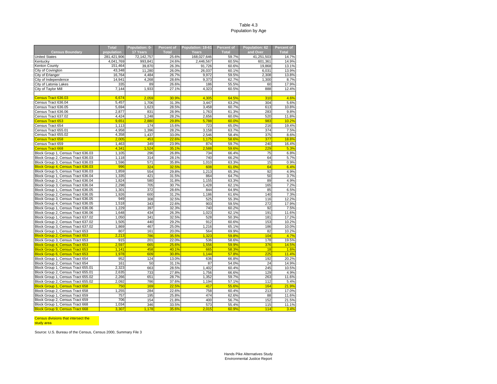#### Table 4.3Population by Age

|                                        | <b>Total</b> | Population: 0- | Percent of   | Population: 18-61 | Percent of   | Population: 62 | Percent of   |
|----------------------------------------|--------------|----------------|--------------|-------------------|--------------|----------------|--------------|
| <b>Census Boundary</b>                 | population   | 17 Years       | <b>Total</b> | Years             | <b>Total</b> | and Over       | <b>Total</b> |
| <b>United States</b>                   | 281,421,906  | 72,142,757     | 25.6%        | 168,027,646       | 59.7%        | 41,251,503     | 14.7%        |
| Kentucky                               | 4,041,769    | 993,841        | 24.6%        | 2,446,567         | 60.5%        | 601,361        | 14.9%        |
| Kenton County                          | 151,464      | 39,870         | 26.3%        | 91,726            | 60.6%        | 19,868         | 13.1%        |
| City of Covington                      | 43,348       | 11,280         | 26.0%        | 26,037            | 60.1%        | 6,031          | 13.9%        |
| City of Erlanger                       | 16,764       | 4,484          | 26.7%        | 9,972             | 59.5%        | 2,308          | 13.8%        |
| City of Independence                   | 14,941       | 4,268          | 28.6%        | 9,373             | 62.7%        | 1,300          | 8.7%         |
| City of Latonia Lakes                  | 335          | 89             | 26.6%        | 186               | 55.5%        | 60             | 17.9%        |
| City of Taylor Mill                    | 7,144        | 1,933          | 27.1%        | 4,323             | 60.5%        | 888            | 12.4%        |
|                                        |              |                |              |                   |              |                |              |
| Census Tract 636.03                    | 6,674        | 2,059          | 30.9%        | 4,305             | 64.5%        | 310            | 4.6%         |
| Census Tract 636.04                    | 5,457        | 1,706          | 31.3%        | 3,447             | 63.2%        | 304            | 5.6%         |
| Census Tract 636.05                    | 5,694        | 1,623          | 28.5%        | 3,458             | 60.7%        | 613            | 10.8%        |
| Census Tract 636.06                    | 2.877        | 831            | 28.9%        | 1.763             | 61.3%        | 283            | 9.8%         |
| Census Tract 637.02                    | 4.424        | 1.248          | 28.2%        | 2,656             | 60.0%        | 520            | 11.8%        |
| Census Tract 653                       | 9.651        | 2,880          | 29.8%        | 5,788             | 60.0%        | 983            | 10.2%        |
| Census Tract 654                       | 1,113        | 174            | 15.6%        | 723               | 65.0%        | 216            | 19.4%        |
| Census Tract 655.01                    | 4,958        | 1,396          | 28.2%        | 3,158             | 63.7%        | 374            | 7.5%         |
| Census Tract 655.02                    | 4,358        | 1,437          | 33.0%        | 2,546             | 58.4%        | 375            | 8.6%         |
| <b>Census Tract 658</b>                | 2,005        | 453            | 22.6%        | 1,175             | 58.6%        | 377            | 18.8%        |
| Census Tract 659                       | 1.463        | 349            | 23.9%        | 874               | 59.7%        | 240            | 16.4%        |
| <b>Census Tract 668</b>                | 4.341        | 1,524          | 35.1%        | 2.588             | 59.6%        | 229            | 5.3%         |
| Block Group 1, Census Tract 636.03     | 1,105        | 296            | 26.8%        | 734               | 66.4%        | 75             | 6.8%         |
| Block Group 2, Census Tract 636.03     | 1,118        | 314            | 28.1%        | 740               | 66.2%        | 64             | 5.7%         |
| Block Group 3, Census Tract 636.03     | 1,596        | 571            | 35.8%        | 1,010             | 63.3%        | 15             | 0.9%         |
| Block Group 4, Census Tract 636.03     | 996          | 324            | 32.5%        | 608               | 61.0%        | 64             | 6.4%         |
| Block Group 5, Census Tract 636.03     | 1,859        | 554            | 29.8%        | 1,213             | 65.3%        | 92             | 4.9%         |
| Block Group 1, Census Tract 636.04     | 1,335        | 421            | 31.5%        | 864               | 64.7%        | 50             | 3.7%         |
| Block Group 2, Census Tract 636.04     | 1,824        | 580            | 31.8%        | 1,155             | 63.3%        | 89             | 4.9%         |
| Block Group 3, Census Tract 636.04     | 2,298        | 705            | 30.7%        | 1.428             | 62.1%        | 165            | 7.2%         |
| Block Group 1, Census Tract 636.05     | 1,301        | 372            | 28.6%        | 844               | 64.9%        | 85             | 6.5%         |
| Block Group 2, Census Tract 636.05     | 1,926        | 600            | 31.2%        | 1,186             | 61.6%        | 140            | 7.3%         |
| Block Group 3, Census Tract 636.05     | 949          | 308            | 32.5%        | 525               | 55.3%        | 116            | 12.2%        |
| Block Group 4, Census Tract 636.05     | 1,518        | 343            | 22.6%        | 903               | 59.5%        | 272            | 17.9%        |
| Block Group 1, Census Tract 636.06     | 1,229        | 397            | 32.3%        | 740               | 60.2%        | 92             | 7.5%         |
| Block Group 2, Census Tract 636.06     | 1,648        | 434            | 26.3%        | 1.023             | 62.1%        | 191            | 11.6%        |
| Block Group 1, Census Tract 637.02     | 1,050        | 341            | 32.5%        | 528               | 50.3%        | 181            | 17.2%        |
| Block Group 2, Census Tract 637.02     | 1,505        | 440            | 29.2%        | 912               | 60.6%        | 153            | 10.2%        |
| Block Group 3, Census Tract 637.02     | 1,869        | 467            | 25.0%        | 1,216             | 65.1%        | 186            | 10.0%        |
| Block Group 1, Census Tract 653        | 807          | 161            | 20.0%        | 564               | 69.9%        | 82             | 10.2%        |
| <b>Block Group 2, Census Tract 653</b> | 2,213        | 786            | 35.5%        | 1,323             | 59.8%        | 104            | 4.7%         |
| Block Group 3, Census Tract 653        | 915          | 201            | 22.0%        | 536               | 58.6%        | 178            | 19.5%        |
| <b>Block Group 4, Census Tract 653</b> | 2,597        | 665            | 25.6%        | 1,556             | 59.9%        | 376            | 14.5%        |
| <b>Block Group 5. Census Tract 653</b> | 1.141        | 458            | 40.1%        | 665               | 58.3%        | 18             | 1.6%         |
| Block Group 6, Census Tract 653        | 1,978        | 609            | 30.8%        | 1.144             | 57.8%        | 225            | 11.4%        |
| Block Group 1, Census Tract 654        | 952          | 124            | 13.0%        | 636               | 66.8%        | 192            | 20.2%        |
| Block Group 2, Census Tract 654        | 161          | 50             | 31.1%        | 87                | 54.0%        | 24             | 14.9%        |
| Block Group 1, Census Tract 655.01     | 2,323        | 663            | 28.5%        | 1,402             | 60.4%        | 245            | 10.5%        |
| Block Group 2, Census Tract 655.01     | 2,635        | 733            | 27.8%        | 1,756             | 66.6%        | 129            | 4.9%         |
| Block Group 1, Census Tract 655.02     | 2,266        | 651            | 28.7%        | 1,352             | 59.7%        | 263            | 11.6%        |
| Block Group 2, Census Tract 655.02     | 2.092        | 786            | 37.6%        | 1.194             | 57.1%        | 112            | 5.4%         |
| <b>Block Group 1, Census Tract 658</b> | 750          | 169            | 22.5%        | 417               | 55.6%        | 164            | 21.9%        |
| Block Group 2, Census Tract 658        | 1,255        | 284            | 22.6%        | 758               | 60.4%        | 213            | 17.0%        |
| Block Group 1, Census Tract 659        | 757          | 195            | 25.8%        | 474               | 62.6%        | 88             | 11.6%        |
| Block Group 2, Census Tract 659        | 706          | 154            | 21.8%        | 400               | 56.7%        | 152            | 21.5%        |
| Block Group 1, Census Tract 668        | 1,034        | 346            | 33.5%        | 573               | 55.4%        | 115            | 11.1%        |
| <b>Block Group 9, Census Tract 668</b> | 3,307        | 1,178          | 35.6%        | 2,015             | 60.9%        | 114            | 3.4%         |

#### Census divisions that intersect the <mark>study area</mark>n